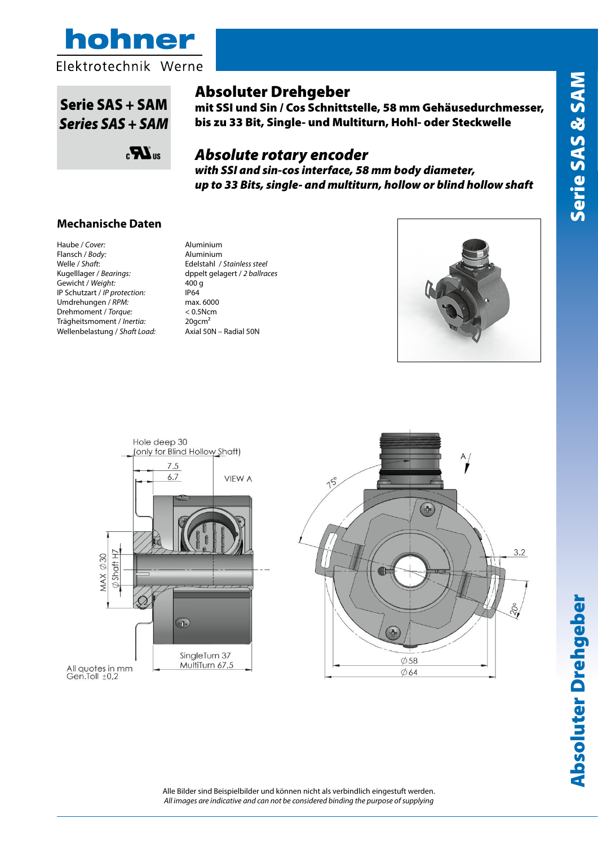



# $\mathbf{S}$ Serie SAS + SAM *Series SAS + SAM*



# Absoluter Drehgeber *Absolute Encoder SSI with sin-cos output ø58mm up to*

mit SSI und Sin / Cos Schnittstelle, 58 mm Gehäusedurchmesser, *33Bits single turn and multiturn hollow and blind hollow* bis zu 33 Bit, Single- und Multiturn, Hohl- oder Steckwelle *shaft*

# **Participal External Absolute rotary encoder**

*with SSI and sin-cos interface, 58 mm body diameter,*  **Custodia /** *Cover***:** Alluminio naturale / *Aluminium*  $\boldsymbol{\mathsf{u}}$ p to 33 Bits, single- and multiturn, hollow or blind hollow shaft

### **Mechanische Daten Peso/** *Weight:* 400gr.

Haube / *Cover:* Aluminium Flansch / *Body:* Aluminium Gewicht / Weight: 400 g IP Schutzart / *IP protection:* IP64<br>Umdrehungen / *RPM:* max. 6000 Umdrehungen / RPM: Drehmoment / *Torque:* < 0.5Ncm Trägheitsmoment / *Inertia:* 20gcm² Wellenbelastung / *Shaft Load:* Axial 50N – Radial 50N **Welle** / *Shaft***:** Kugelllager / Bearings:

Welle / *Shaft*: Edelstahl / *Stainless steel* Kugelllager / *Bearings:* dppelt gelagert / *2 ballraces*





All quotes in mm<br>Gen.Toll ±0,2



**Absoluter Drehgeber** Absoluter Drehgeber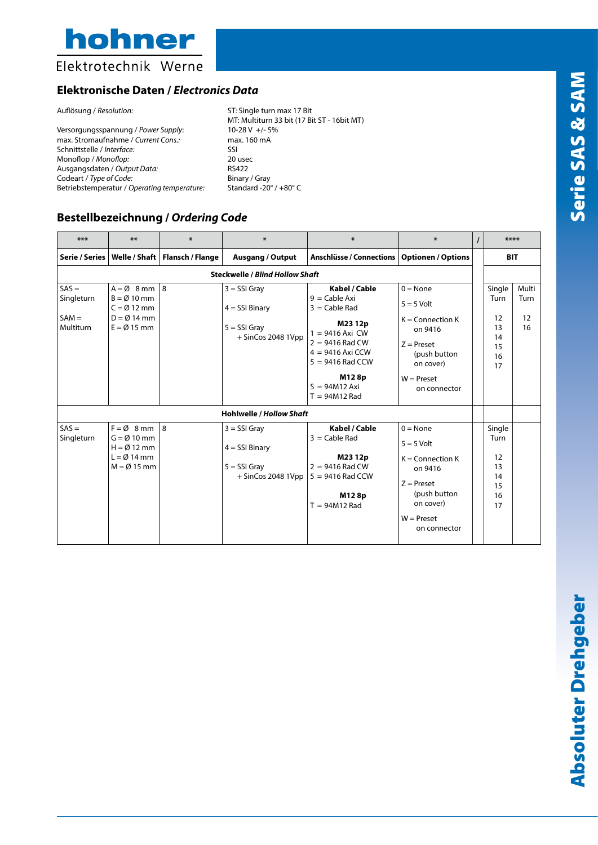hohner

## Elektrotechnik Werne

### **Elektronische Daten /** *Electronics Data*

Versorgungsspannung / *Power Supply*: 10-28 V +/- 5<br>max. Stromaufnahme / *Current Cons.*: max. 160 mA max. Stromaufnahme / *Current Cons.:* max. 160 max. 160 max. 160 max. 160 max. 160 max. 160 max. 160 max. 160 max. 160 max. 160 max. 160 max. 160 max. 160 max. 160 max. 160 max. 160 max. 160 max. 160 max. 160 max. 160 max. Schnittstelle / *Interface:* SSI<br>Monoflop / *Monoflop:* 20 usec Monoflop / *Monoflop:* 20 use<br>Ausgangsdaten / *Output Data:* 20 mm Ausgangsdaten / *Output Data:* RS422 Codeart / *Type of Code:* Binary / Gray<br>Betriebstemperatur / *Operating temperature:* Standard -20° / +80° C Betriebstemperatur / Operating temperature:

Auflösung / *Resolution*: ST: Single turn max 17 Bit MT: Multiturn 33 bit (17 Bit ST - 16bit MT)<br>10-28 V +/- 5%

### **Bestellbezeichnung /** *Ordering Code*

| ***                                           | **                                                                                                                           | $\ast$                           | $\ast$                                                                       | ∗                                                                                                                                                                                                   | $\ast$                                                                                                                                            | $\prime$ | ****                                               |                           |  |  |  |  |
|-----------------------------------------------|------------------------------------------------------------------------------------------------------------------------------|----------------------------------|------------------------------------------------------------------------------|-----------------------------------------------------------------------------------------------------------------------------------------------------------------------------------------------------|---------------------------------------------------------------------------------------------------------------------------------------------------|----------|----------------------------------------------------|---------------------------|--|--|--|--|
| Serie / Series                                |                                                                                                                              | Welle / Shaft   Flansch / Flange | <b>Ausgang / Output</b>                                                      | <b>Anschlüsse / Connections</b>                                                                                                                                                                     | <b>Optionen / Options</b>                                                                                                                         |          | <b>BIT</b>                                         |                           |  |  |  |  |
| <b>Steckwelle / Blind Hollow Shaft</b>        |                                                                                                                              |                                  |                                                                              |                                                                                                                                                                                                     |                                                                                                                                                   |          |                                                    |                           |  |  |  |  |
| $SAS =$<br>Singleturn<br>$SAM =$<br>Multiturn | $A = \emptyset$ 8 mm   8<br>$B = \emptyset$ 10 mm<br>$C = \emptyset$ 12 mm<br>$D = \emptyset$ 14 mm<br>$E = \emptyset$ 15 mm |                                  | $3 =$ SSI Gray<br>$4 =$ SSI Binary<br>$5 =$ SSI Gray<br>$+$ SinCos 2048 1Vpp | Kabel / Cable<br>$9 =$ Cable Axi<br>$3 =$ Cable Rad<br>M23 12p<br>$1 = 9416$ Axi CW<br>$2 = 9416$ Rad CW<br>$4 = 9416$ Axi CCW<br>$5 = 9416$ Rad CCW<br>M128p<br>$S = 94M12$ Axi<br>$T = 94M12$ Rad | $0 = \text{None}$<br>$5 = 5$ Volt<br>$K =$ Connection $K$<br>on 9416<br>$Z =$ Preset<br>(push button<br>on cover)<br>$W =$ Preset<br>on connector |          | Single<br>Turn<br>12<br>13<br>14<br>15<br>16<br>17 | Multi<br>Turn<br>12<br>16 |  |  |  |  |
| <b>Hohlwelle / Hollow Shaft</b>               |                                                                                                                              |                                  |                                                                              |                                                                                                                                                                                                     |                                                                                                                                                   |          |                                                    |                           |  |  |  |  |
| $SAS =$<br>Singleturn                         | $F = \emptyset$ 8 mm 8<br>$G = \emptyset$ 10 mm<br>$H = \emptyset$ 12 mm<br>$L = \emptyset$ 14 mm<br>$M = \emptyset$ 15 mm   |                                  | $3 =$ SSI Gray<br>$4 =$ SSI Binary<br>$5 =$ SSI Gray<br>$+$ SinCos 2048 1Vpp | Kabel / Cable<br>$3 =$ Cable Rad<br>M23 12p<br>$2 = 9416$ Rad CW<br>$5 = 9416$ Rad CCW<br>M128p<br>$T = 94M12$ Rad                                                                                  | $0 = None$<br>$5 = 5$ Volt<br>$K =$ Connection K<br>on 9416<br>$Z =$ Preset<br>(push button<br>on cover)                                          |          | Single<br>Turn<br>12<br>13<br>14<br>15<br>16<br>17 |                           |  |  |  |  |
|                                               |                                                                                                                              |                                  |                                                                              |                                                                                                                                                                                                     | $W =$ Preset<br>on connector                                                                                                                      |          |                                                    |                           |  |  |  |  |